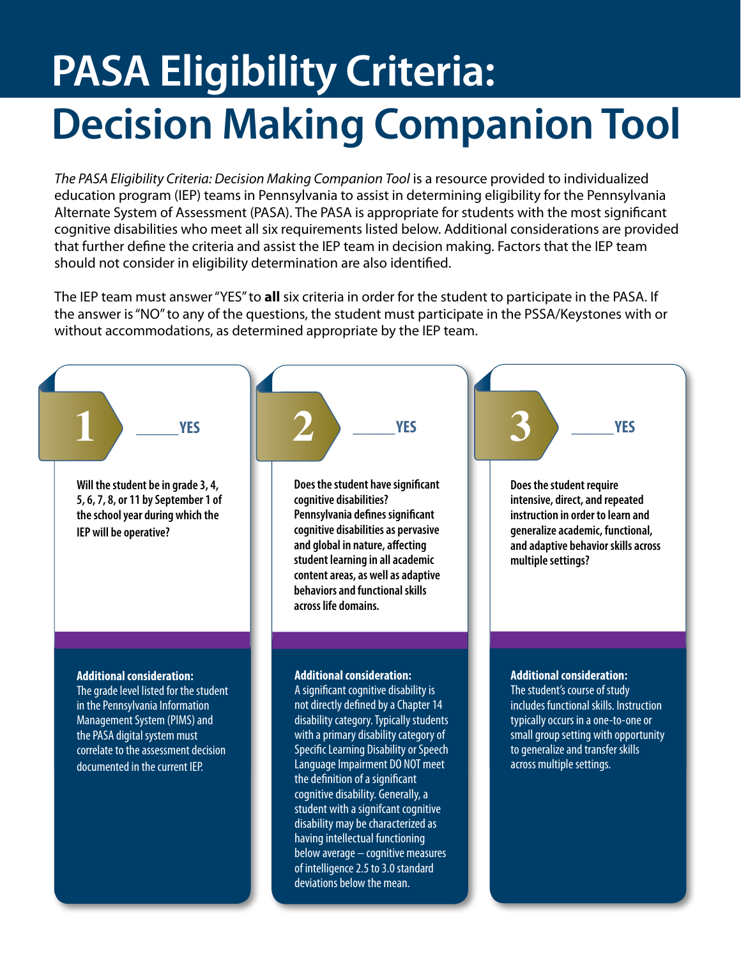## **PASA Eligibility Criteria: Decision Making Companion Tool**

*The PASA Eligibility Criteria: Decision Making Companion Tool* is a resource provided to individualized education program (IEP) teams in Pennsylvania to assist in determining eligibility for the Pennsylvania Alternate System of Assessment (PASA). The PASA is appropriate for students with the most significant cognitive disabilities who meet all six requirements listed below. Additional considerations are provided that further define the criteria and assist the IEP team in decision making. Factors that the IEP team should not consider in eligibility determination are also identified.

The IEP team must answer "YES" to **all** six criteria in order for the student to participate in the PASA. If the answer is "NO" to any of the questions, the student must participate in the PSSA/Keystones with or without accommodations, as determined appropriate by the IEP team.